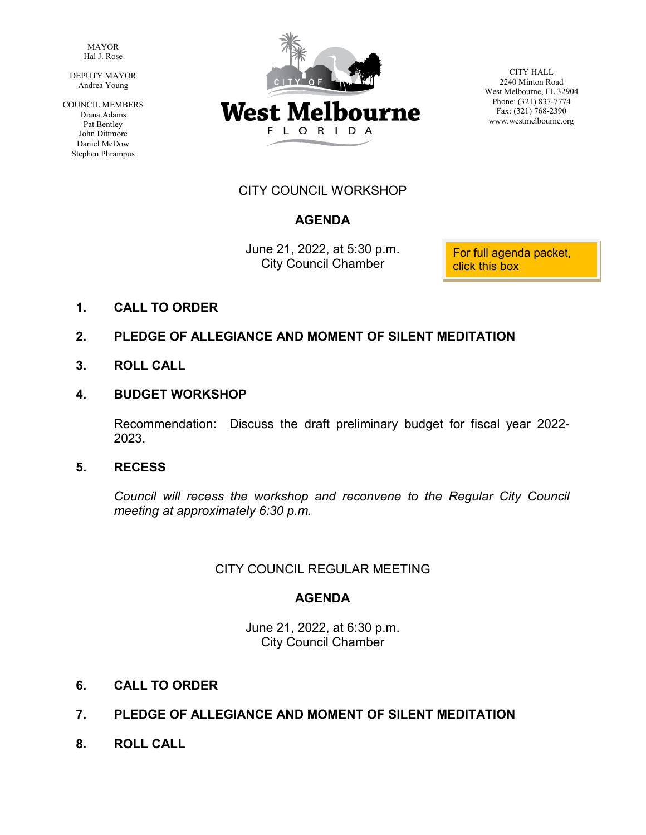MAYOR Hal J. Rose

 DEPUTY MAYOR Andrea Young

COUNCIL MEMBERS Diana Adams Pat Bentley John Dittmore Daniel McDow Stephen Phrampus



CITY HALL 2240 Minton Road West Melbourne, FL 32904 Phone: (321) 837-7774 Fax: (321) 768-2390 www.westmelbourne.org

# CITY COUNCIL WORKSHOP

# **AGENDA**

June 21, 2022, at 5:30 p.m.<br>City Council Chamber click this box

**1. CALL TO ORDER**

# **2. PLEDGE OF ALLEGIANCE AND MOMENT OF SILENT MEDITATION**

**3. ROLL CALL**

# **4. BUDGET WORKSHOP**

Recommendation: Discuss the draft preliminary budget for fiscal year 2022- 2023.

# **5. RECESS**

*Council will recess the workshop and reconvene to the Regular City Council meeting at approximately 6:30 p.m.*

# CITY COUNCIL REGULAR MEETING

# **AGENDA**

June 21, 2022, at 6:30 p.m. City Council Chamber

- **6. CALL TO ORDER**
- **7. PLEDGE OF ALLEGIANCE AND MOMENT OF SILENT MEDITATION**
- **8. ROLL CALL**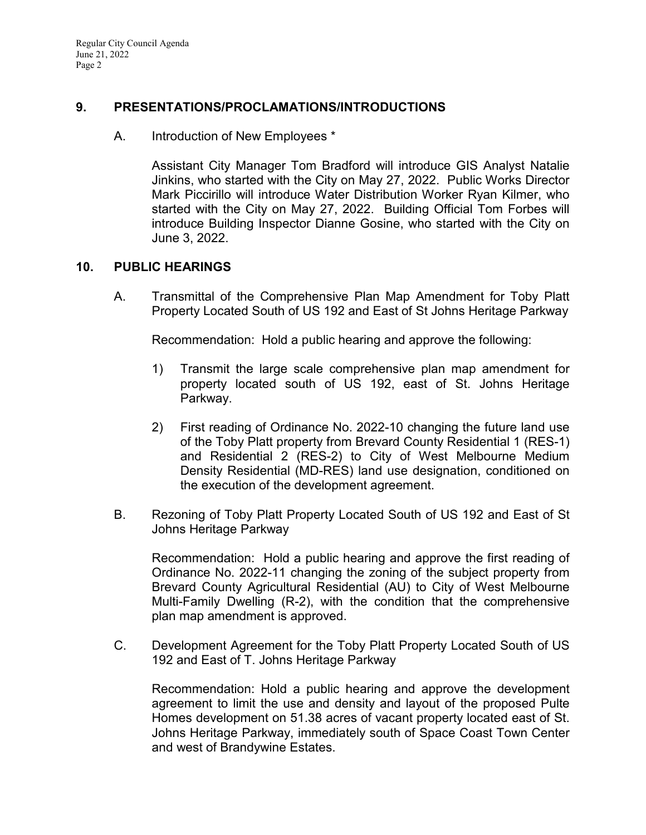Regular City Council Agenda June 21, 2022 Page 2

### **9. PRESENTATIONS/PROCLAMATIONS/INTRODUCTIONS**

A. Introduction of New Employees \*

Assistant City Manager Tom Bradford will introduce GIS Analyst Natalie Jinkins, who started with the City on May 27, 2022. Public Works Director Mark Piccirillo will introduce Water Distribution Worker Ryan Kilmer, who started with the City on May 27, 2022. Building Official Tom Forbes will introduce Building Inspector Dianne Gosine, who started with the City on June 3, 2022.

### **10. PUBLIC HEARINGS**

A. Transmittal of the Comprehensive Plan Map Amendment for Toby Platt Property Located South of US 192 and East of St Johns Heritage Parkway

Recommendation: Hold a public hearing and approve the following:

- 1) Transmit the large scale comprehensive plan map amendment for property located south of US 192, east of St. Johns Heritage Parkway.
- 2) First reading of Ordinance No. 2022-10 changing the future land use of the Toby Platt property from Brevard County Residential 1 (RES-1) and Residential 2 (RES-2) to City of West Melbourne Medium Density Residential (MD-RES) land use designation, conditioned on the execution of the development agreement.
- B. Rezoning of Toby Platt Property Located South of US 192 and East of St Johns Heritage Parkway

Recommendation: Hold a public hearing and approve the first reading of Ordinance No. 2022-11 changing the zoning of the subject property from Brevard County Agricultural Residential (AU) to City of West Melbourne Multi-Family Dwelling (R-2), with the condition that the comprehensive plan map amendment is approved.

C. Development Agreement for the Toby Platt Property Located South of US 192 and East of T. Johns Heritage Parkway

Recommendation: Hold a public hearing and approve the development agreement to limit the use and density and layout of the proposed Pulte Homes development on 51.38 acres of vacant property located east of St. Johns Heritage Parkway, immediately south of Space Coast Town Center and west of Brandywine Estates.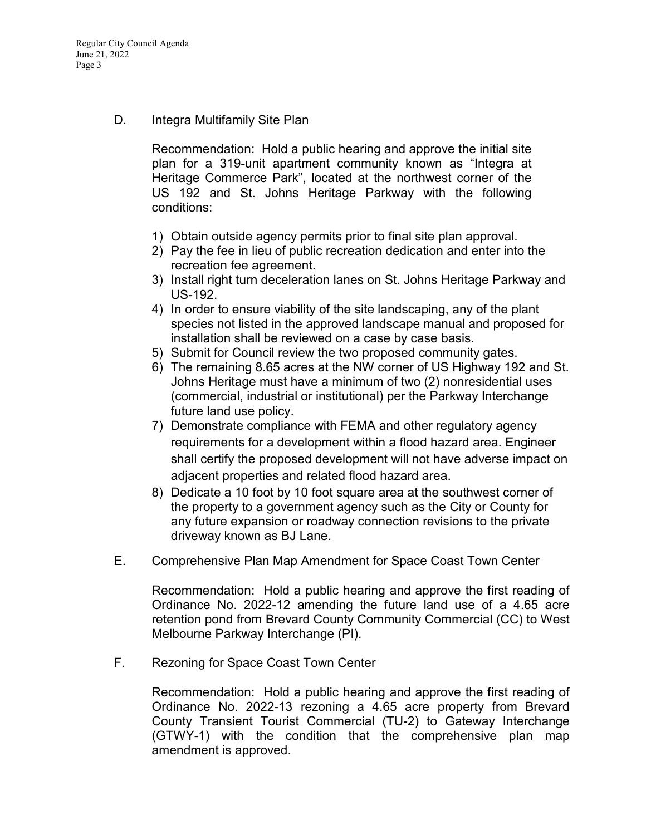D. Integra Multifamily Site Plan

 Recommendation: Hold a public hearing and approve the initial site plan for a 319-unit apartment community known as "Integra at Heritage Commerce Park", located at the northwest corner of the US 192 and St. Johns Heritage Parkway with the following conditions:

- 1) Obtain outside agency permits prior to final site plan approval.
- 2) Pay the fee in lieu of public recreation dedication and enter into the recreation fee agreement.
- 3) Install right turn deceleration lanes on St. Johns Heritage Parkway and US-192.
- 4) In order to ensure viability of the site landscaping, any of the plant species not listed in the approved landscape manual and proposed for installation shall be reviewed on a case by case basis.
- 5) Submit for Council review the two proposed community gates.
- 6) The remaining 8.65 acres at the NW corner of US Highway 192 and St. Johns Heritage must have a minimum of two (2) nonresidential uses (commercial, industrial or institutional) per the Parkway Interchange future land use policy.
- 7) Demonstrate compliance with FEMA and other regulatory agency requirements for a development within a flood hazard area. Engineer shall certify the proposed development will not have adverse impact on adjacent properties and related flood hazard area.
- 8) Dedicate a 10 foot by 10 foot square area at the southwest corner of the property to a government agency such as the City or County for any future expansion or roadway connection revisions to the private driveway known as BJ Lane.
- E. Comprehensive Plan Map Amendment for Space Coast Town Center

Recommendation: Hold a public hearing and approve the first reading of Ordinance No. 2022-12 amending the future land use of a 4.65 acre retention pond from Brevard County Community Commercial (CC) to West Melbourne Parkway Interchange (PI).

F. Rezoning for Space Coast Town Center

Recommendation: Hold a public hearing and approve the first reading of Ordinance No. 2022-13 rezoning a 4.65 acre property from Brevard County Transient Tourist Commercial (TU-2) to Gateway Interchange (GTWY-1) with the condition that the comprehensive plan map amendment is approved.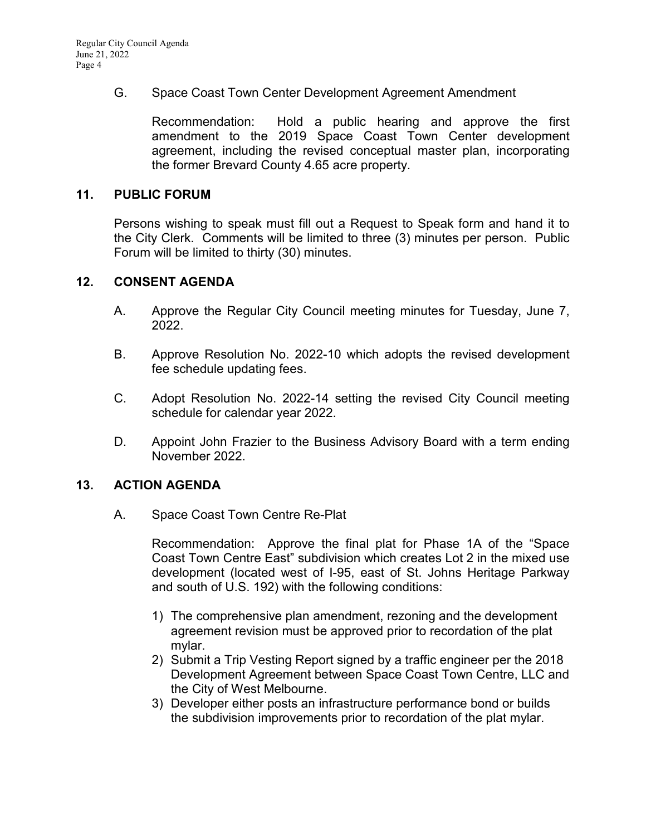# G. Space Coast Town Center Development Agreement Amendment

Recommendation: Hold a public hearing and approve the first amendment to the 2019 Space Coast Town Center development agreement, including the revised conceptual master plan, incorporating the former Brevard County 4.65 acre property.

#### **11. PUBLIC FORUM**

Persons wishing to speak must fill out a Request to Speak form and hand it to the City Clerk. Comments will be limited to three (3) minutes per person. Public Forum will be limited to thirty (30) minutes.

### **12. CONSENT AGENDA**

- A. Approve the Regular City Council meeting minutes for Tuesday, June 7, 2022.
- B. Approve Resolution No. 2022-10 which adopts the revised development fee schedule updating fees.
- C. Adopt Resolution No. 2022-14 setting the revised City Council meeting schedule for calendar year 2022.
- D. Appoint John Frazier to the Business Advisory Board with a term ending November 2022.

### **13. ACTION AGENDA**

A. Space Coast Town Centre Re-Plat

Recommendation: Approve the final plat for Phase 1A of the "Space Coast Town Centre East" subdivision which creates Lot 2 in the mixed use development (located west of I-95, east of St. Johns Heritage Parkway and south of U.S. 192) with the following conditions:

- 1) The comprehensive plan amendment, rezoning and the development agreement revision must be approved prior to recordation of the plat mylar.
- 2) Submit a Trip Vesting Report signed by a traffic engineer per the 2018 Development Agreement between Space Coast Town Centre, LLC and the City of West Melbourne.
- 3) Developer either posts an infrastructure performance bond or builds the subdivision improvements prior to recordation of the plat mylar.